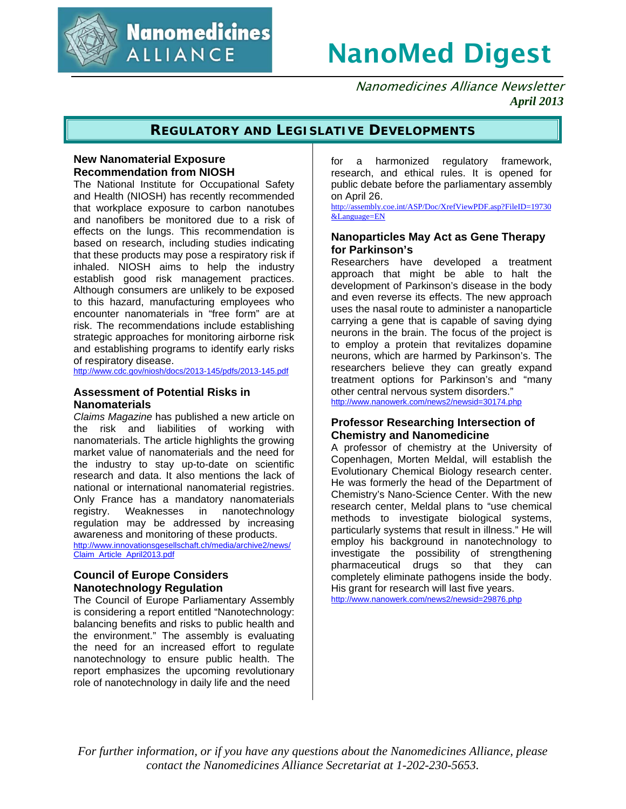

**Nanomedicines ALLIANCE** 

# NanoMed Digest

 Nanomedicines Alliance Newsletter  *April 2013*

## **REGULATORY AND LEGISLATIVE DEVELOPMENTS**

## **New Nanomaterial Exposure Recommendation from NIOSH**

The National Institute for Occupational Safety and Health (NIOSH) has recently recommended that workplace exposure to carbon nanotubes and nanofibers be monitored due to a risk of effects on the lungs. This recommendation is based on research, including studies indicating that these products may pose a respiratory risk if inhaled. NIOSH aims to help the industry establish good risk management practices. Although consumers are unlikely to be exposed to this hazard, manufacturing employees who encounter nanomaterials in "free form" are at risk. The recommendations include establishing strategic approaches for monitoring airborne risk and establishing programs to identify early risks of respiratory disease.

http://www.cdc.gov/niosh/docs/2013-145/pdfs/2013-145.pdf

## **Assessment of Potential Risks in Nanomaterials**

*Claims Magazine* has published a new article on the risk and liabilities of working with nanomaterials. The article highlights the growing market value of nanomaterials and the need for the industry to stay up-to-date on scientific research and data. It also mentions the lack of national or international nanomaterial registries. Only France has a mandatory nanomaterials registry. Weaknesses in nanotechnology regulation may be addressed by increasing awareness and monitoring of these products. http://www.innovationsgesellschaft.ch/media/archive2/news/ Claim\_Article\_April2013.pdf

## **Council of Europe Considers Nanotechnology Regulation**

The Council of Europe Parliamentary Assembly is considering a report entitled "Nanotechnology: balancing benefits and risks to public health and the environment." The assembly is evaluating the need for an increased effort to regulate nanotechnology to ensure public health. The report emphasizes the upcoming revolutionary role of nanotechnology in daily life and the need

for a harmonized regulatory framework, research, and ethical rules. It is opened for public debate before the parliamentary assembly on April 26.

http://assembly.coe.int/ASP/Doc/XrefViewPDF.asp?FileID=19730 &Language=EN

## **Nanoparticles May Act as Gene Therapy for Parkinson's**

Researchers have developed a treatment approach that might be able to halt the development of Parkinson's disease in the body and even reverse its effects. The new approach uses the nasal route to administer a nanoparticle carrying a gene that is capable of saving dying neurons in the brain. The focus of the project is to employ a protein that revitalizes dopamine neurons, which are harmed by Parkinson's. The researchers believe they can greatly expand treatment options for Parkinson's and "many other central nervous system disorders."

http://www.nanowerk.com/news2/newsid=30174.php

## **Professor Researching Intersection of Chemistry and Nanomedicine**

A professor of chemistry at the University of Copenhagen, Morten Meldal, will establish the Evolutionary Chemical Biology research center. He was formerly the head of the Department of Chemistry's Nano-Science Center. With the new research center, Meldal plans to "use chemical methods to investigate biological systems, particularly systems that result in illness." He will employ his background in nanotechnology to investigate the possibility of strengthening pharmaceutical drugs so that they can completely eliminate pathogens inside the body. His grant for research will last five years.

http://www.nanowerk.com/news2/newsid=29876.php

*For further information, or if you have any questions about the Nanomedicines Alliance, please contact the Nanomedicines Alliance Secretariat at 1-202-230-5653.*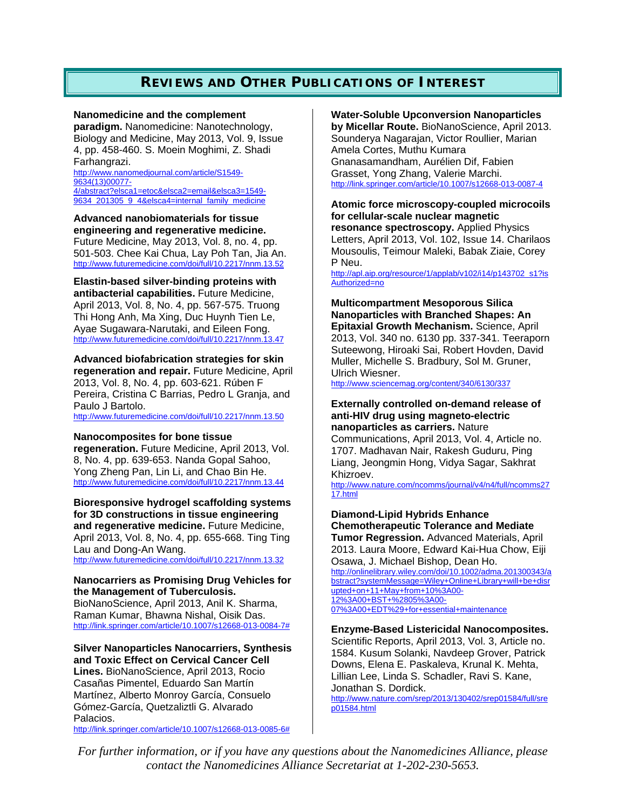# **REVIEWS AND OTHER PUBLICATIONS OF INTEREST**

#### **Nanomedicine and the complement**

**paradigm.** Nanomedicine: Nanotechnology, Biology and Medicine, May 2013, Vol. 9, Issue 4, pp. 458-460. S. Moein Moghimi, Z. Shadi Farhangrazi.

http://www.nanomedjournal.com/article/S1549- 9634(13)00077- 4/abstract?elsca1=etoc&elsca2=email&elsca3=1549- 9634 201305 9 4&elsca4=internal family medicine

## **Advanced nanobiomaterials for tissue engineering and regenerative medicine.** Future Medicine, May 2013, Vol. 8, no. 4, pp. 501-503. Chee Kai Chua, Lay Poh Tan, Jia An.

http://www.futuremedicine.com/doi/full/10.2217/nnm.13.52

# **Elastin-based silver-binding proteins with**

**antibacterial capabilities.** Future Medicine, April 2013, Vol. 8, No. 4, pp. 567-575. Truong Thi Hong Anh, Ma Xing, Duc Huynh Tien Le, Ayae Sugawara-Narutaki, and Eileen Fong. http://www.futuremedicine.com/doi/full/10.2217/nnm.13.47

**Advanced biofabrication strategies for skin regeneration and repair.** Future Medicine, April 2013, Vol. 8, No. 4, pp. 603-621. Rúben F Pereira, Cristina C Barrias, Pedro L Granja, and Paulo J Bartolo.

http://www.futuremedicine.com/doi/full/10.2217/nnm.13.50

## **Nanocomposites for bone tissue**

**regeneration.** Future Medicine, April 2013, Vol. 8, No. 4, pp. 639-653. Nanda Gopal Sahoo, Yong Zheng Pan, Lin Li, and Chao Bin He. http://www.futuremedicine.com/doi/full/10.2217/nnm.13.44

**Bioresponsive hydrogel scaffolding systems for 3D constructions in tissue engineering and regenerative medicine.** Future Medicine, April 2013, Vol. 8, No. 4, pp. 655-668. Ting Ting Lau and Dong-An Wang. http://www.futuremedicine.com/doi/full/10.2217/nnm.13.32

## **Nanocarriers as Promising Drug Vehicles for the Management of Tuberculosis.**

BioNanoScience, April 2013, Anil K. Sharma, Raman Kumar, Bhawna Nishal, Oisik Das. http://link.springer.com/article/10.1007/s12668-013-0084-7#

#### **Silver Nanoparticles Nanocarriers, Synthesis and Toxic Effect on Cervical Cancer Cell**

**Lines.** BioNanoScience, April 2013, Rocio Casañas Pimentel, Eduardo San Martín Martínez, Alberto Monroy García, Consuelo Gómez-García, Quetzaliztli G. Alvarado Palacios.

http://link.springer.com/article/10.1007/s12668-013-0085-6#

## **Water-Soluble Upconversion Nanoparticles**

**by Micellar Route.** BioNanoScience, April 2013. Sounderya Nagarajan, Victor Roullier, Marian Amela Cortes, Muthu Kumara Gnanasamandham, Aurélien Dif, Fabien Grasset, Yong Zhang, Valerie Marchi. http://link.springer.com/article/10.1007/s12668-013-0087-4

#### **Atomic force microscopy-coupled microcoils for cellular-scale nuclear magnetic resonance spectroscopy.** Applied Physics Letters, April 2013, Vol. 102, Issue 14. Charilaos Mousoulis, Teimour Maleki, Babak Ziaie, Corey

P Neu.

http://apl.aip.org/resource/1/applab/v102/i14/p143702\_s1?is Authorized=no

## **Multicompartment Mesoporous Silica Nanoparticles with Branched Shapes: An Epitaxial Growth Mechanism.** Science, April 2013, Vol. 340 no. 6130 pp. 337-341. Teeraporn Suteewong, Hiroaki Sai, Robert Hovden, David Muller, Michelle S. Bradbury, Sol M. Gruner, Ulrich Wiesner.

http://www.sciencemag.org/content/340/6130/337

## **Externally controlled on-demand release of anti-HIV drug using magneto-electric nanoparticles as carriers.** Nature

Communications, April 2013, Vol. 4, Article no. 1707. Madhavan Nair, Rakesh Guduru, Ping Liang, Jeongmin Hong, Vidya Sagar, Sakhrat Khizroev.

http://www.nature.com/ncomms/journal/v4/n4/full/ncomms27 17.html

## **Diamond-Lipid Hybrids Enhance Chemotherapeutic Tolerance and Mediate Tumor Regression.** Advanced Materials, April 2013. Laura Moore, Edward Kai-Hua Chow, Eiji

Osawa, J. Michael Bishop, Dean Ho. http://onlinelibrary.wiley.com/doi/10.1002/adma.201300343/a bstract?systemMessage=Wiley+Online+Library+will+be+disr upted+on+11+May+from+10%3A00- 12%3A00+BST+%2805%3A00- 07%3A00+EDT%29+for+essential+maintenance

## **Enzyme-Based Listericidal Nanocomposites.**

Scientific Reports, April 2013, Vol. 3, Article no. 1584. Kusum Solanki, Navdeep Grover, Patrick Downs, Elena E. Paskaleva, Krunal K. Mehta, Lillian Lee, Linda S. Schadler, Ravi S. Kane, Jonathan S. Dordick.

http://www.nature.com/srep/2013/130402/srep01584/full/sre p01584.html

*For further information, or if you have any questions about the Nanomedicines Alliance, please contact the Nanomedicines Alliance Secretariat at 1-202-230-5653.*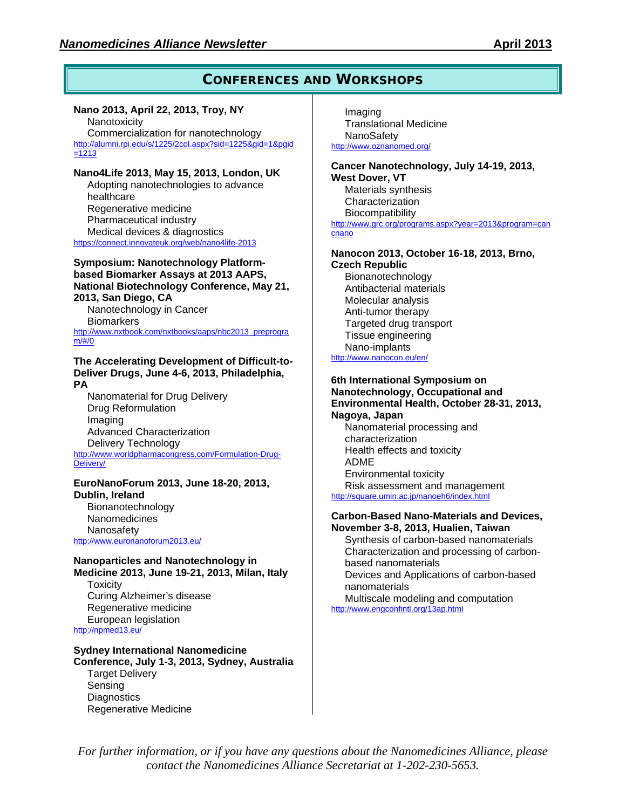## **CONFERENCES AND WORKSHOPS**

## **Nano 2013, April 22, 2013, Troy, NY**

**Nanotoxicity** Commercialization for nanotechnology http://alumni.rpi.edu/s/1225/2col.aspx?sid=1225&gid=1&pgid =1213

## **Nano4Life 2013, May 15, 2013, London, UK**

Adopting nanotechnologies to advance healthcare Regenerative medicine Pharmaceutical industry Medical devices & diagnostics https://connect.innovateuk.org/web/nano4life-2013

## **Symposium: Nanotechnology Platformbased Biomarker Assays at 2013 AAPS, National Biotechnology Conference, May 21, 2013, San Diego, CA**

Nanotechnology in Cancer **Biomarkers** http://www.nxtbook.com/nxtbooks/aaps/nbc2013\_preprogra

m/#/0

#### **The Accelerating Development of Difficult-to-Deliver Drugs, June 4-6, 2013, Philadelphia, PA**

Nanomaterial for Drug Delivery Drug Reformulation Imaging Advanced Characterization Delivery Technology http://www.worldpharmacongress.com/Formulation-Drug-Delivery/

## **EuroNanoForum 2013, June 18-20, 2013, Dublin, Ireland**

Bionanotechnology **Nanomedicines** Nanosafety http://www.euronanoforum2013.eu/

## **Nanoparticles and Nanotechnology in Medicine 2013, June 19-21, 2013, Milan, Italy**

**Toxicity** Curing Alzheimer's disease Regenerative medicine European legislation http://npmed13.eu/

# **Sydney International Nanomedicine**

**Conference, July 1-3, 2013, Sydney, Australia** Target Delivery Sensing **Diagnostics** Regenerative Medicine

Imaging Translational Medicine **NanoSafety** http://www.oznanomed.org/

#### **Cancer Nanotechnology, July 14-19, 2013, West Dover, VT** Materials synthesis Characterization **Biocompatibility** http://www.grc.org/programs.aspx?year=2013&program=can cnano

# **Nanocon 2013, October 16-18, 2013, Brno,**

**Czech Republic**  Bionanotechnology Antibacterial materials Molecular analysis Anti-tumor therapy Targeted drug transport Tissue engineering Nano-implants http://www.nanocon.eu/en/

## **6th International Symposium on Nanotechnology, Occupational and Environmental Health, October 28-31, 2013, Nagoya, Japan**

Nanomaterial processing and characterization Health effects and toxicity ADME Environmental toxicity Risk assessment and management http://square.umin.ac.jp/nanoeh6/index.html

#### **Carbon-Based Nano-Materials and Devices, November 3-8, 2013, Hualien, Taiwan**

Synthesis of carbon-based nanomaterials Characterization and processing of carbonbased nanomaterials Devices and Applications of carbon-based nanomaterials

Multiscale modeling and computation http://www.engconfintl.org/13ap.html

*For further information, or if you have any questions about the Nanomedicines Alliance, please contact the Nanomedicines Alliance Secretariat at 1-202-230-5653.*